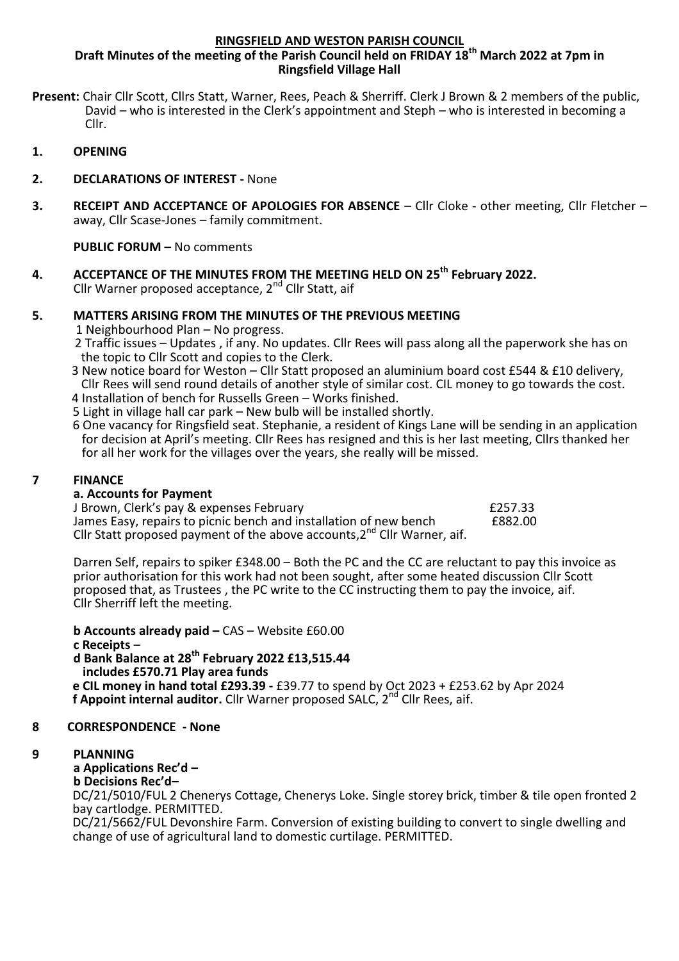#### **RINGSFIELD AND WESTON PARISH COUNCIL**

### **Draft Minutes of the meeting of the Parish Council held on FRIDAY 18th March 2022 at 7pm in Ringsfield Village Hall**

- **Present:** Chair Cllr Scott, Cllrs Statt, Warner, Rees, Peach & Sherriff. Clerk J Brown & 2 members of the public, David – who is interested in the Clerk's appointment and Steph – who is interested in becoming a Cllr.
- **1. OPENING**
- **2. DECLARATIONS OF INTEREST -** None
- **3. RECEIPT AND ACCEPTANCE OF APOLOGIES FOR ABSENCE** Cllr Cloke other meeting, Cllr Fletcher away, Cllr Scase-Jones – family commitment.

**PUBLIC FORUM –** No comments

**4. ACCEPTANCE OF THE MINUTES FROM THE MEETING HELD ON 25th February 2022.** Cllr Warner proposed acceptance, 2nd Cllr Statt, aif

### **5. MATTERS ARISING FROM THE MINUTES OF THE PREVIOUS MEETING**

- 1 Neighbourhood Plan No progress.
- 2 Traffic issues Updates , if any. No updates. Cllr Rees will pass along all the paperwork she has on the topic to Cllr Scott and copies to the Clerk.
- 3 New notice board for Weston Cllr Statt proposed an aluminium board cost £544 & £10 delivery, Cllr Rees will send round details of another style of similar cost. CIL money to go towards the cost.
- 4 Installation of bench for Russells Green Works finished.
- 5 Light in village hall car park New bulb will be installed shortly.
- 6 One vacancy for Ringsfield seat. Stephanie, a resident of Kings Lane will be sending in an application for decision at April's meeting. Cllr Rees has resigned and this is her last meeting, Cllrs thanked her for all her work for the villages over the years, she really will be missed.

#### $\overline{7}$ **7 FINANCE**

#### **a. Accounts for Payment**

J Brown, Clerk's pay & expenses February<br>James Easy, repairs to picnic bench and installation of new bench f882.00 James Easy, repairs to picnic bench and installation of new bench Cllr Statt proposed payment of the above accounts,2<sup>nd</sup> Cllr Warner, aif.

Darren Self, repairs to spiker £348.00 – Both the PC and the CC are reluctant to pay this invoice as prior authorisation for this work had not been sought, after some heated discussion Cllr Scott proposed that, as Trustees , the PC write to the CC instructing them to pay the invoice, aif. Cllr Sherriff left the meeting.

**b Accounts already paid –** CAS – Website £60.00 **c Receipts** – **d Bank Balance at 28th February 2022 £13,515.44 includes £570.71 Play area funds e CIL money in hand total £293.39 -** £39.77 to spend by Oct 2023 + £253.62 by Apr 2024

# **f Appoint internal auditor.** Cllr Warner proposed SALC. 2<sup>nd</sup> Cllr Rees, aif.

## **8 CORRESPONDENCE - None**

#### **9 PLANNING**

#### **a Applications Rec'd –**

#### **b Decisions Rec'd–**

 DC/21/5010/FUL 2 Chenerys Cottage, Chenerys Loke. Single storey brick, timber & tile open fronted 2 bay cartlodge. PERMITTED.

 DC/21/5662/FUL Devonshire Farm. Conversion of existing building to convert to single dwelling and change of use of agricultural land to domestic curtilage. PERMITTED.